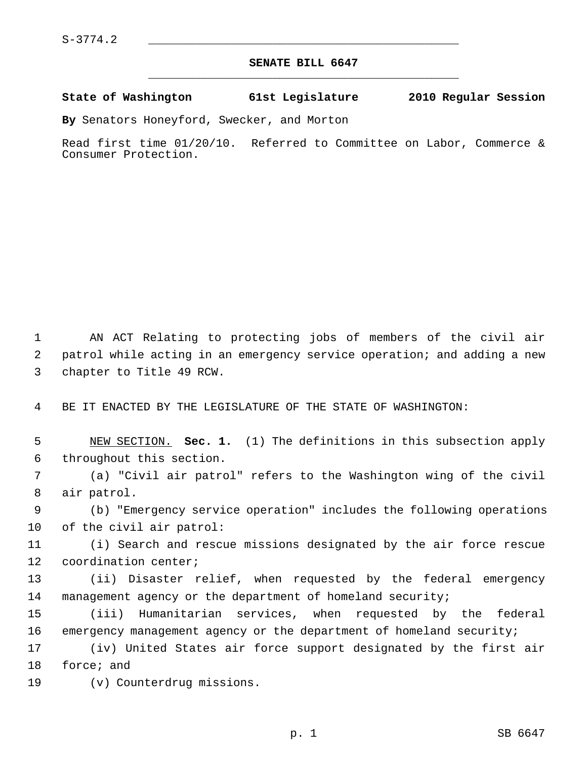## **SENATE BILL 6647** \_\_\_\_\_\_\_\_\_\_\_\_\_\_\_\_\_\_\_\_\_\_\_\_\_\_\_\_\_\_\_\_\_\_\_\_\_\_\_\_\_\_\_\_\_

## **State of Washington 61st Legislature 2010 Regular Session**

**By** Senators Honeyford, Swecker, and Morton

Read first time 01/20/10. Referred to Committee on Labor, Commerce & Consumer Protection.

 1 AN ACT Relating to protecting jobs of members of the civil air 2 patrol while acting in an emergency service operation; and adding a new 3 chapter to Title 49 RCW.

4 BE IT ENACTED BY THE LEGISLATURE OF THE STATE OF WASHINGTON:

 5 NEW SECTION. **Sec. 1.** (1) The definitions in this subsection apply 6 throughout this section.

 7 (a) "Civil air patrol" refers to the Washington wing of the civil 8 air patrol.

 9 (b) "Emergency service operation" includes the following operations 10 of the civil air patrol:

11 (i) Search and rescue missions designated by the air force rescue 12 coordination center;

13 (ii) Disaster relief, when requested by the federal emergency 14 management agency or the department of homeland security;

15 (iii) Humanitarian services, when requested by the federal 16 emergency management agency or the department of homeland security;

17 (iv) United States air force support designated by the first air 18 force; and

19 (v) Counterdrug missions.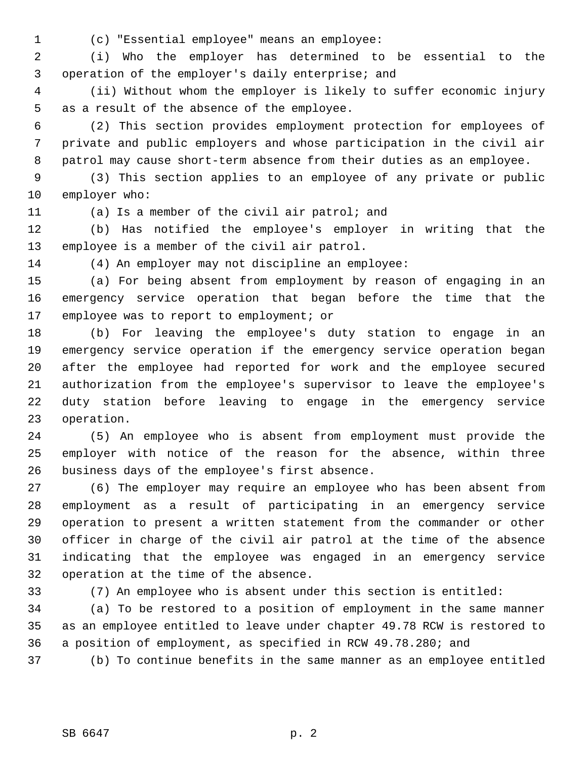1 (c) "Essential employee" means an employee:

 2 (i) Who the employer has determined to be essential to the 3 operation of the employer's daily enterprise; and

 4 (ii) Without whom the employer is likely to suffer economic injury 5 as a result of the absence of the employee.

 6 (2) This section provides employment protection for employees of 7 private and public employers and whose participation in the civil air 8 patrol may cause short-term absence from their duties as an employee.

 9 (3) This section applies to an employee of any private or public 10 employer who:

11 (a) Is a member of the civil air patrol; and

12 (b) Has notified the employee's employer in writing that the 13 employee is a member of the civil air patrol.

14 (4) An employer may not discipline an employee:

15 (a) For being absent from employment by reason of engaging in an 16 emergency service operation that began before the time that the 17 employee was to report to employment; or

18 (b) For leaving the employee's duty station to engage in an 19 emergency service operation if the emergency service operation began 20 after the employee had reported for work and the employee secured 21 authorization from the employee's supervisor to leave the employee's 22 duty station before leaving to engage in the emergency service 23 operation.

24 (5) An employee who is absent from employment must provide the 25 employer with notice of the reason for the absence, within three 26 business days of the employee's first absence.

27 (6) The employer may require an employee who has been absent from 28 employment as a result of participating in an emergency service 29 operation to present a written statement from the commander or other 30 officer in charge of the civil air patrol at the time of the absence 31 indicating that the employee was engaged in an emergency service 32 operation at the time of the absence.

33 (7) An employee who is absent under this section is entitled:

34 (a) To be restored to a position of employment in the same manner 35 as an employee entitled to leave under chapter 49.78 RCW is restored to 36 a position of employment, as specified in RCW 49.78.280; and

37 (b) To continue benefits in the same manner as an employee entitled